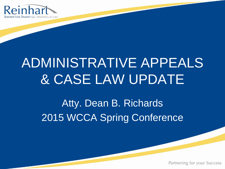

## ADMINISTRATIVE APPEALS & CASE LAW UPDATE

Atty. Dean B. Richards 2015 WCCA Spring Conference

Partnering for your Success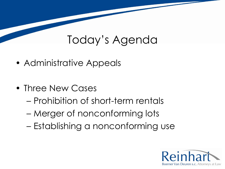#### Today's Agenda

- Administrative Appeals
- Three New Cases
	- Prohibition of short-term rentals
	- Merger of nonconforming lots
	- Establishing a nonconforming use

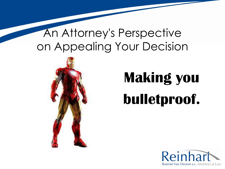### An Attorney's Perspective on Appealing Your Decision



# **Making you bulletproof.**

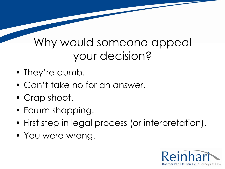#### Why would someone appeal your decision?

- They're dumb.
- Can't take no for an answer.
- Crap shoot.
- Forum shopping.
- First step in legal process (or interpretation).
- You were wrong.

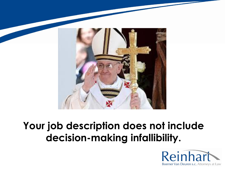

#### **Your job description does not include decision-making infallibility.**

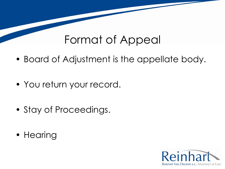#### Format of Appeal

- Board of Adjustment is the appellate body.
- You return your record.
- Stay of Proceedings.
- Hearing

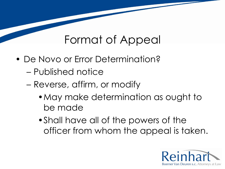#### Format of Appeal

- De Novo or Error Determination?
	- Published notice
	- Reverse, affirm, or modify
		- •May make determination as ought to be made
		- •Shall have all of the powers of the officer from whom the appeal is taken.

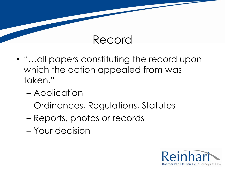#### Record

- "…all papers constituting the record upon which the action appealed from was taken."
	- Application
	- Ordinances, Regulations, Statutes
	- Reports, photos or records
	- Your decision

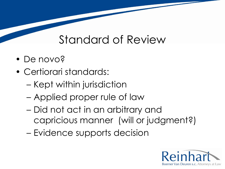#### Standard of Review

- De novo?
- Certiorari standards:
	- Kept within jurisdiction
	- Applied proper rule of law
	- Did not act in an arbitrary and capricious manner (will or judgment?)
	- Evidence supports decision

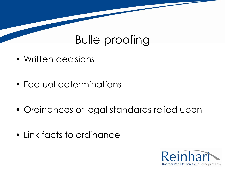## Bulletproofing

- Written decisions
- Factual determinations
- Ordinances or legal standards relied upon
- Link facts to ordinance

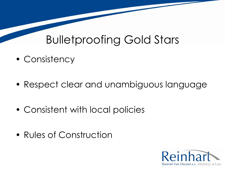#### Bulletproofing Gold Stars

- Consistency
- Respect clear and unambiguous language
- Consistent with local policies
- Rules of Construction

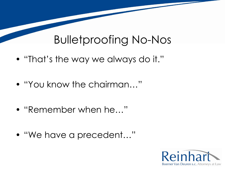#### Bulletproofing No-Nos

- "That's the way we always do it."
- "You know the chairman…"
- "Remember when he…"
- "We have a precedent…"

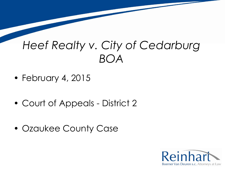- February 4, 2015
- Court of Appeals District 2
- Ozaukee County Case

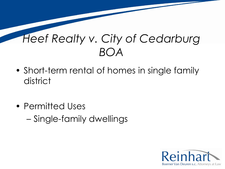- Short-term rental of homes in single family district
- Permitted Uses – Single-family dwellings

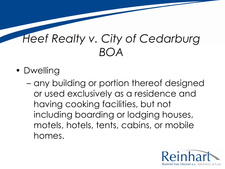- Dwelling
	- any building or portion thereof designed or used exclusively as a residence and having cooking facilities, but not including boarding or lodging houses, motels, hotels, tents, cabins, or mobile homes.

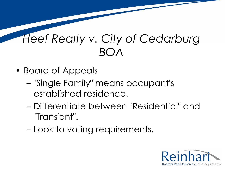- Board of Appeals
	- "Single Family" means occupant's established residence.
	- Differentiate between "Residential" and "Transient".
	- Look to voting requirements.

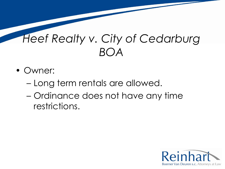- Owner:
	- Long term rentals are allowed.
	- Ordinance does not have any time restrictions.

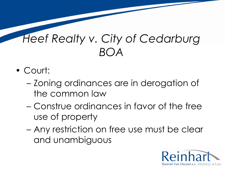- Court:
	- Zoning ordinances are in derogation of the common law
	- Construe ordinances in favor of the free use of property
	- Any restriction on free use must be clear and unambiguous

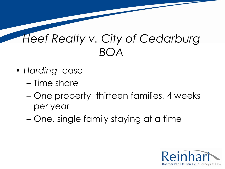- *Harding* case
	- Time share
	- One property, thirteen families, 4 weeks per year
	- One, single family staying at a time

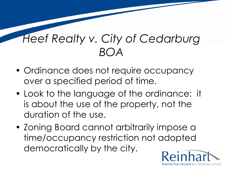- Ordinance does not require occupancy over a specified period of time.
- Look to the language of the ordinance: it is about the use of the property, not the duration of the use.
- Zoning Board cannot arbitrarily impose a time/occupancy restriction not adopted democratically by the city.

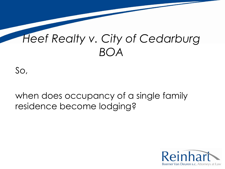So,

#### when does occupancy of a single family residence become lodging?

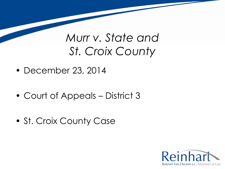- December 23, 2014
- Court of Appeals District 3
- St. Croix County Case

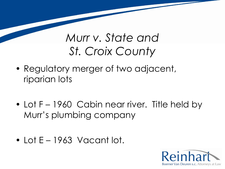- Regulatory merger of two adjacent, riparian lots
- Lot F 1960 Cabin near river. Title held by Murr's plumbing company
- Lot E 1963 Vacant lot.

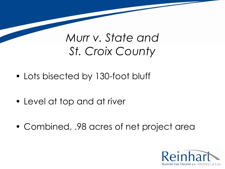- Lots bisected by 130-foot bluff
- Level at top and at river
- Combined, .98 acres of net project area

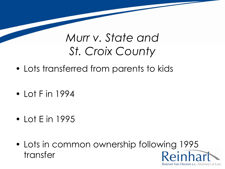- Lots transferred from parents to kids
- Lot F in 1994
- Lot E in 1995
- Lots in common ownership following 1995 Reinhart transfer

Boerner Van Deuren s.c. Attorneys at Law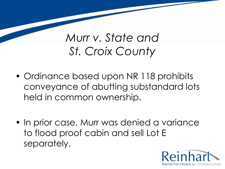- Ordinance based upon NR 118 prohibits conveyance of abutting substandard lots held in common ownership.
- In prior case, Murr was denied a variance to flood proof cabin and sell Lot E separately.

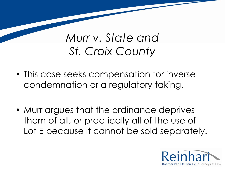- This case seeks compensation for inverse condemnation or a regulatory taking.
- Murr argues that the ordinance deprives them of all, or practically all of the use of Lot E because it cannot be sold separately.

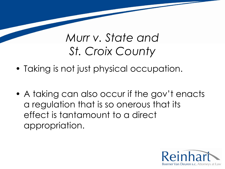- Taking is not just physical occupation.
- A taking can also occur if the gov't enacts a regulation that is so onerous that its effect is tantamount to a direct appropriation.

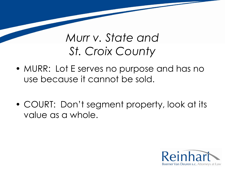- MURR: Lot E serves no purpose and has no use because it cannot be sold.
- COURT: Don't segment property, look at its value as a whole.

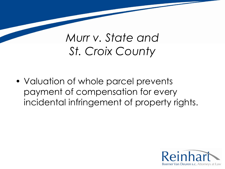• Valuation of whole parcel prevents payment of compensation for every incidental infringement of property rights.

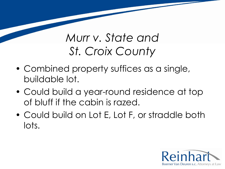- Combined property suffices as a single, buildable lot.
- Could build a year-round residence at top of bluff if the cabin is razed.
- Could build on Lot E, Lot F, or straddle both lots.

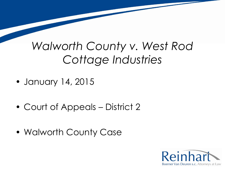- January 14, 2015
- Court of Appeals District 2
- Walworth County Case

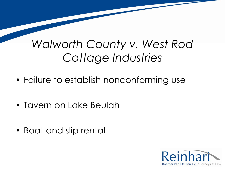- Failure to establish nonconforming use
- Tavern on Lake Beulah
- Boat and slip rental

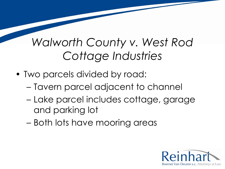- Two parcels divided by road:
	- Tavern parcel adjacent to channel
	- Lake parcel includes cottage, garage and parking lot
	- Both lots have mooring areas

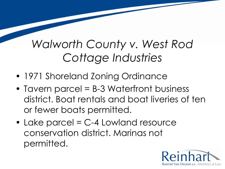- 1971 Shoreland Zoning Ordinance
- Tavern parcel = B-3 Waterfront business district. Boat rentals and boat liveries of ten or fewer boats permitted.
- Lake parcel = C-4 Lowland resource conservation district. Marinas not permitted.

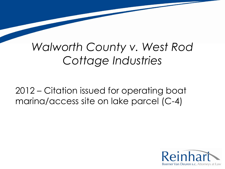2012 – Citation issued for operating boat marina/access site on lake parcel (C-4)

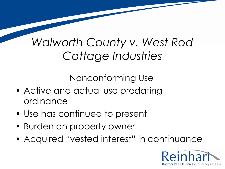Nonconforming Use

- Active and actual use predating ordinance
- Use has continued to present
- Burden on property owner
- Acquired "vested interest" in continuance

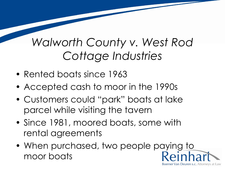- Rented boats since 1963
- Accepted cash to moor in the 1990s
- Customers could "park" boats at lake parcel while visiting the tavern
- Since 1981, moored boats, some with rental agreements
- When purchased, two people paying to moor boats

Boerner Van Deuren s.c. Attorneys at Law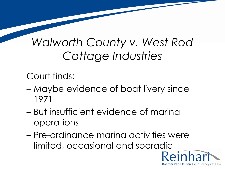Court finds:

- Maybe evidence of boat livery since 1971
- But insufficient evidence of marina operations
- Pre-ordinance marina activities were limited, occasional and sporadicReinhar

Boerner Van Deuren s.c. Attorneys at Law